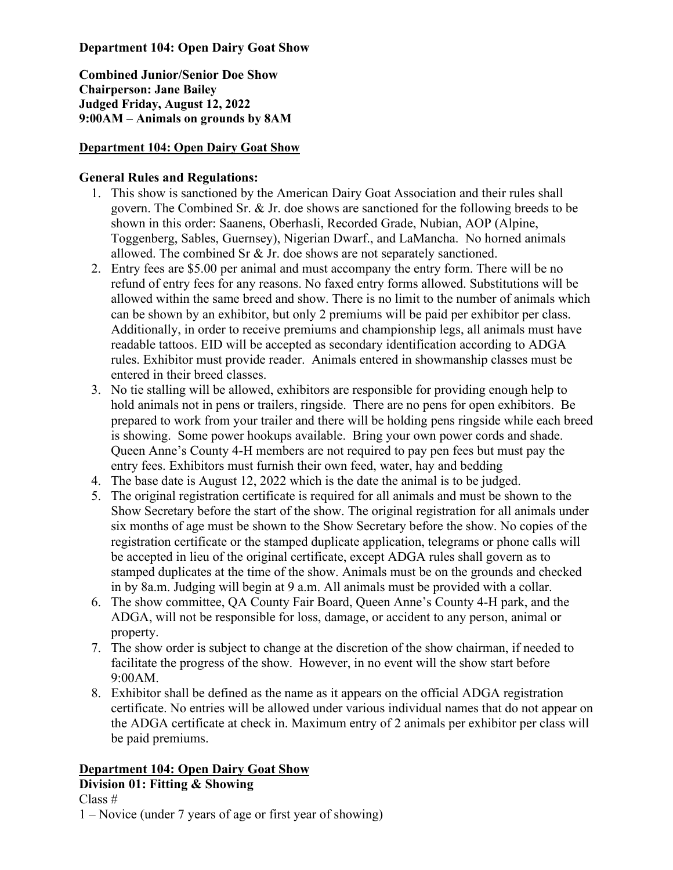**Department 104: Open Dairy Goat Show** 

**Combined Junior/Senior Doe Show Chairperson: Jane Bailey Judged Friday, August 12, 2022 9:00AM – Animals on grounds by 8AM**

# **Department 104: Open Dairy Goat Show**

## **General Rules and Regulations:**

- 1. This show is sanctioned by the American Dairy Goat Association and their rules shall govern. The Combined Sr. & Jr. doe shows are sanctioned for the following breeds to be shown in this order: Saanens, Oberhasli, Recorded Grade, Nubian, AOP (Alpine, Toggenberg, Sables, Guernsey), Nigerian Dwarf., and LaMancha. No horned animals allowed. The combined Sr & Jr. doe shows are not separately sanctioned.
- 2. Entry fees are \$5.00 per animal and must accompany the entry form. There will be no refund of entry fees for any reasons. No faxed entry forms allowed. Substitutions will be allowed within the same breed and show. There is no limit to the number of animals which can be shown by an exhibitor, but only 2 premiums will be paid per exhibitor per class. Additionally, in order to receive premiums and championship legs, all animals must have readable tattoos. EID will be accepted as secondary identification according to ADGA rules. Exhibitor must provide reader. Animals entered in showmanship classes must be entered in their breed classes.
- 3. No tie stalling will be allowed, exhibitors are responsible for providing enough help to hold animals not in pens or trailers, ringside. There are no pens for open exhibitors. Be prepared to work from your trailer and there will be holding pens ringside while each breed is showing. Some power hookups available. Bring your own power cords and shade. Queen Anne's County 4-H members are not required to pay pen fees but must pay the entry fees. Exhibitors must furnish their own feed, water, hay and bedding
- 4. The base date is August 12, 2022 which is the date the animal is to be judged.
- 5. The original registration certificate is required for all animals and must be shown to the Show Secretary before the start of the show. The original registration for all animals under six months of age must be shown to the Show Secretary before the show. No copies of the registration certificate or the stamped duplicate application, telegrams or phone calls will be accepted in lieu of the original certificate, except ADGA rules shall govern as to stamped duplicates at the time of the show. Animals must be on the grounds and checked in by 8a.m. Judging will begin at 9 a.m. All animals must be provided with a collar.
- 6. The show committee, QA County Fair Board, Queen Anne's County 4-H park, and the ADGA, will not be responsible for loss, damage, or accident to any person, animal or property.
- 7. The show order is subject to change at the discretion of the show chairman, if needed to facilitate the progress of the show. However, in no event will the show start before 9:00AM.
- 8. Exhibitor shall be defined as the name as it appears on the official ADGA registration certificate. No entries will be allowed under various individual names that do not appear on the ADGA certificate at check in. Maximum entry of 2 animals per exhibitor per class will be paid premiums.

## **Department 104: Open Dairy Goat Show Division 01: Fitting & Showing**

Class #

1 – Novice (under 7 years of age or first year of showing)